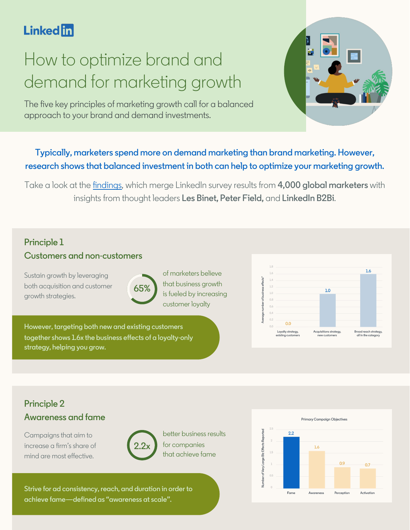# **Linked** in

# How to optimize brand and demand for marketing growth

The five key principles of marketing growth call for a balanced approach to your brand and demand investments.

# **Typically, marketers spend more on demand marketing than brand marketing. However, research shows that balanced investment in both can help to optimize your marketing growth.**

Take a look at the [findings,](https://business.linkedin.com/marketing-solutions/success/insights-and-research/brand-to-demand) which merge LinkedIn survey results from **4,000 global marketers** with insights from thought leaders **Les Binet, Peter Field,** and **LinkedIn B2Bi**.

# **Principle 1 Customers and non-customers**

Sustain growth by leveraging both acquisition and customer growth strategies.



of marketers believe that business growth is fueled by increasing customer loyalty

**However, targeting both new and existing customers together shows 1.6x the business effects of a loyalty-only strategy, helping you grow.**



# **Principle 2 Awareness and fame**

Campaigns that aim to increase a firm's share of mind are most effective.



better business results for companies that achieve fame

**Strive for ad consistency, reach, and duration in order to achieve fame—defined as "awareness at scale".**